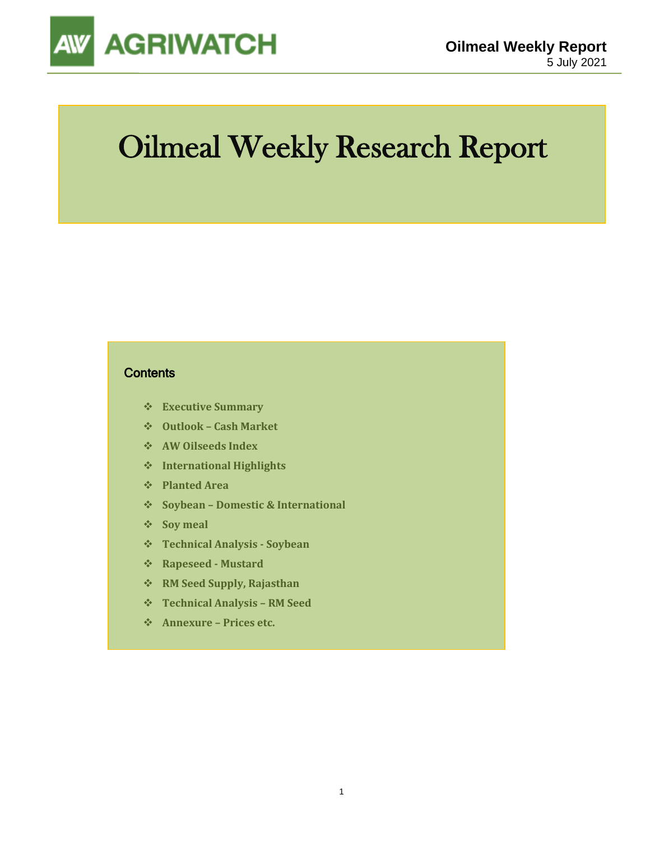

# Oilmeal Weekly Research Report

### **Contents**

- ❖ **Executive Summary**
- ❖ **Outlook – Cash Market**
- ❖ **AW Oilseeds Index**
- ❖ **International Highlights**
- ❖ **Planted Area**
- ❖ **Soybean – Domestic & International**
- ❖ **Soy meal**
- ❖ **Technical Analysis - Soybean**
- ❖ **Rapeseed - Mustard**
- ❖ **RM Seed Supply, Rajasthan**
- ❖ **Technical Analysis – RM Seed**
- ❖ **Annexure – Prices etc.**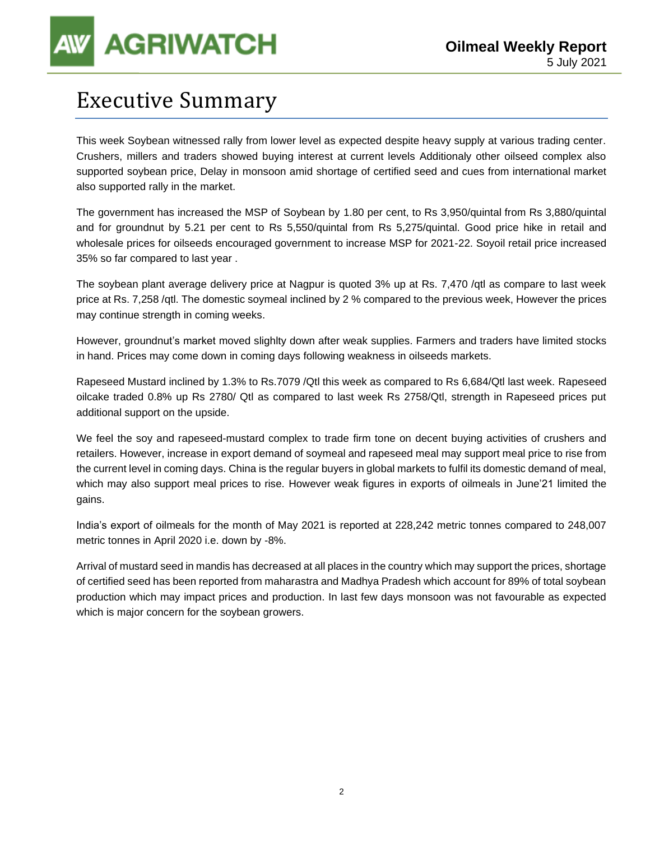# Executive Summary

This week Soybean witnessed rally from lower level as expected despite heavy supply at various trading center. Crushers, millers and traders showed buying interest at current levels Additionaly other oilseed complex also supported soybean price, Delay in monsoon amid shortage of certified seed and cues from international market also supported rally in the market.

The government has increased the MSP of Soybean by 1.80 per cent, to Rs 3,950/quintal from Rs 3,880/quintal and for groundnut by 5.21 per cent to Rs 5,550/quintal from Rs 5,275/quintal. Good price hike in retail and wholesale prices for oilseeds encouraged government to increase MSP for 2021-22. Soyoil retail price increased 35% so far compared to last year .

The soybean plant average delivery price at Nagpur is quoted 3% up at Rs. 7,470 /qtl as compare to last week price at Rs. 7,258 /qtl. The domestic soymeal inclined by 2 % compared to the previous week, However the prices may continue strength in coming weeks.

However, groundnut's market moved slighlty down after weak supplies. Farmers and traders have limited stocks in hand. Prices may come down in coming days following weakness in oilseeds markets.

Rapeseed Mustard inclined by 1.3% to Rs.7079 /Qtl this week as compared to Rs 6,684/Qtl last week. Rapeseed oilcake traded 0.8% up Rs 2780/ Qtl as compared to last week Rs 2758/Qtl, strength in Rapeseed prices put additional support on the upside.

We feel the soy and rapeseed-mustard complex to trade firm tone on decent buying activities of crushers and retailers. However, increase in export demand of soymeal and rapeseed meal may support meal price to rise from the current level in coming days. China is the regular buyers in global markets to fulfil its domestic demand of meal, which may also support meal prices to rise. However weak figures in exports of oilmeals in June'21 limited the gains.

India's export of oilmeals for the month of May 2021 is reported at 228,242 metric tonnes compared to 248,007 metric tonnes in April 2020 i.e. down by -8%.

Arrival of mustard seed in mandis has decreased at all places in the country which may support the prices, shortage of certified seed has been reported from maharastra and Madhya Pradesh which account for 89% of total soybean production which may impact prices and production. In last few days monsoon was not favourable as expected which is major concern for the soybean growers.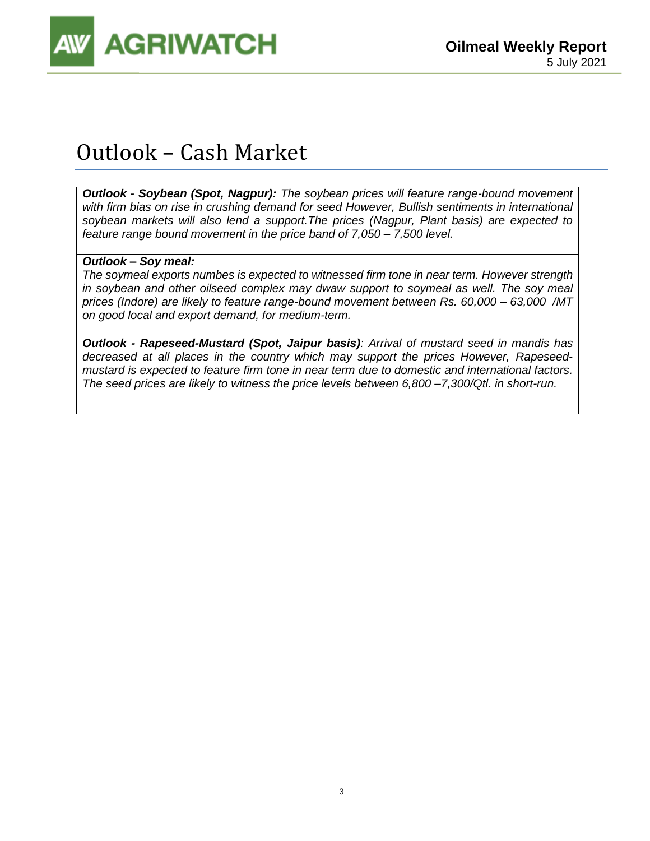

# Outlook – Cash Market

*Outlook - Soybean (Spot, Nagpur): The soybean prices will feature range-bound movement with firm bias on rise in crushing demand for seed However, Bullish sentiments in international soybean markets will also lend a support.The prices (Nagpur, Plant basis) are expected to feature range bound movement in the price band of 7,050 – 7,500 level.* 

### *Outlook – Soy meal:*

*The soymeal exports numbes is expected to witnessed firm tone in near term. However strength in soybean and other oilseed complex may dwaw support to soymeal as well. The soy meal prices (Indore) are likely to feature range-bound movement between Rs. 60,000 – 63,000 /MT on good local and export demand, for medium-term.* 

*Outlook - Rapeseed-Mustard (Spot, Jaipur basis): Arrival of mustard seed in mandis has decreased at all places in the country which may support the prices However, Rapeseedmustard is expected to feature firm tone in near term due to domestic and international factors. The seed prices are likely to witness the price levels between 6,800 –7,300/Qtl. in short-run.*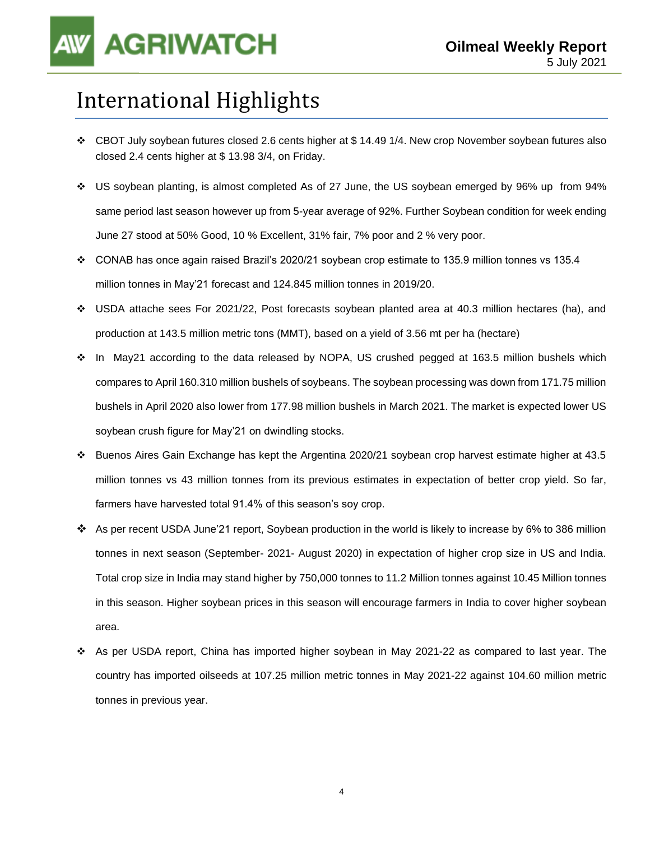# International Highlights

- ❖ CBOT July soybean futures closed 2.6 cents higher at \$ 14.49 1/4. New crop November soybean futures also closed 2.4 cents higher at \$ 13.98 3/4, on Friday.
- ❖ US soybean planting, is almost completed As of 27 June, the US soybean emerged by 96% up from 94% same period last season however up from 5-year average of 92%. Further Soybean condition for week ending June 27 stood at 50% Good, 10 % Excellent, 31% fair, 7% poor and 2 % very poor.
- ❖ CONAB has once again raised Brazil's 2020/21 soybean crop estimate to 135.9 million tonnes vs 135.4 million tonnes in May'21 forecast and 124.845 million tonnes in 2019/20.
- ❖ USDA attache sees For 2021/22, Post forecasts soybean planted area at 40.3 million hectares (ha), and production at 143.5 million metric tons (MMT), based on a yield of 3.56 mt per ha (hectare)
- ❖ In May21 according to the data released by NOPA, US crushed pegged at 163.5 million bushels which compares to April 160.310 million bushels of soybeans. The soybean processing was down from 171.75 million bushels in April 2020 also lower from 177.98 million bushels in March 2021. The market is expected lower US soybean crush figure for May'21 on dwindling stocks.
- ❖ Buenos Aires Gain Exchange has kept the Argentina 2020/21 soybean crop harvest estimate higher at 43.5 million tonnes vs 43 million tonnes from its previous estimates in expectation of better crop yield. So far, farmers have harvested total 91.4% of this season's soy crop.
- ❖ As per recent USDA June'21 report, Soybean production in the world is likely to increase by 6% to 386 million tonnes in next season (September- 2021- August 2020) in expectation of higher crop size in US and India. Total crop size in India may stand higher by 750,000 tonnes to 11.2 Million tonnes against 10.45 Million tonnes in this season. Higher soybean prices in this season will encourage farmers in India to cover higher soybean area.
- ❖ As per USDA report, China has imported higher soybean in May 2021-22 as compared to last year. The country has imported oilseeds at 107.25 million metric tonnes in May 2021-22 against 104.60 million metric tonnes in previous year.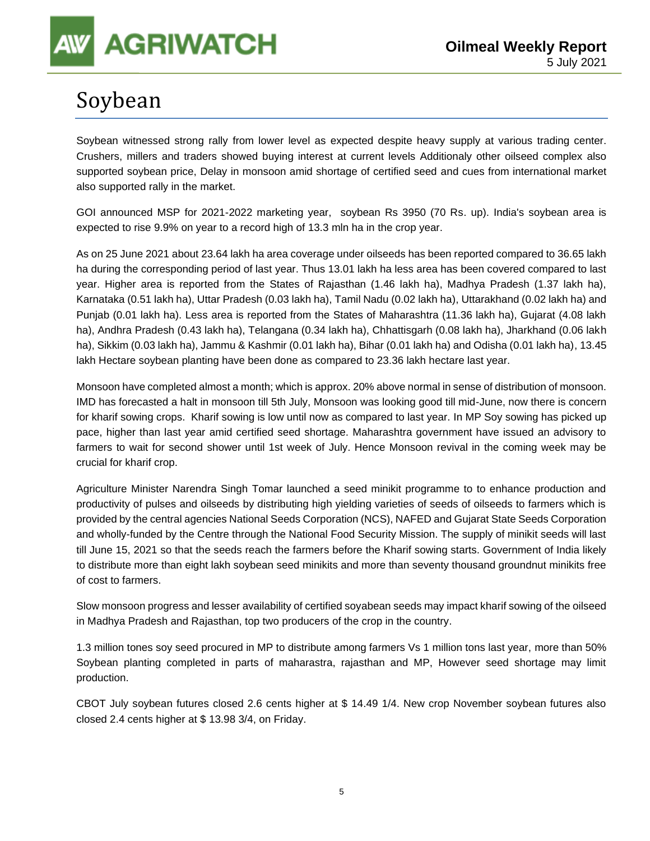# **AGRIWATCH**

# Soybean

Soybean witnessed strong rally from lower level as expected despite heavy supply at various trading center. Crushers, millers and traders showed buying interest at current levels Additionaly other oilseed complex also supported soybean price, Delay in monsoon amid shortage of certified seed and cues from international market also supported rally in the market.

GOI announced MSP for 2021-2022 marketing year, soybean Rs 3950 (70 Rs. up). India's soybean area is expected to rise 9.9% on year to a record high of 13.3 mln ha in the crop year.

As on 25 June 2021 about 23.64 lakh ha area coverage under oilseeds has been reported compared to 36.65 lakh ha during the corresponding period of last year. Thus 13.01 lakh ha less area has been covered compared to last year. Higher area is reported from the States of Rajasthan (1.46 lakh ha), Madhya Pradesh (1.37 lakh ha), Karnataka (0.51 lakh ha), Uttar Pradesh (0.03 lakh ha), Tamil Nadu (0.02 lakh ha), Uttarakhand (0.02 lakh ha) and Punjab (0.01 lakh ha). Less area is reported from the States of Maharashtra (11.36 lakh ha), Gujarat (4.08 lakh ha), Andhra Pradesh (0.43 lakh ha), Telangana (0.34 lakh ha), Chhattisgarh (0.08 lakh ha), Jharkhand (0.06 lakh ha), Sikkim (0.03 lakh ha), Jammu & Kashmir (0.01 lakh ha), Bihar (0.01 lakh ha) and Odisha (0.01 lakh ha), 13.45 lakh Hectare soybean planting have been done as compared to 23.36 lakh hectare last year.

Monsoon have completed almost a month; which is approx. 20% above normal in sense of distribution of monsoon. IMD has forecasted a halt in monsoon till 5th July, Monsoon was looking good till mid-June, now there is concern for kharif sowing crops. Kharif sowing is low until now as compared to last year. In MP Soy sowing has picked up pace, higher than last year amid certified seed shortage. Maharashtra government have issued an advisory to farmers to wait for second shower until 1st week of July. Hence Monsoon revival in the coming week may be crucial for kharif crop.

Agriculture Minister Narendra Singh Tomar launched a seed minikit programme to to enhance production and productivity of pulses and oilseeds by distributing high yielding varieties of seeds of oilseeds to farmers which is provided by the central agencies National Seeds Corporation (NCS), NAFED and Gujarat State Seeds Corporation and wholly-funded by the Centre through the National Food Security Mission. The supply of minikit seeds will last till June 15, 2021 so that the seeds reach the farmers before the Kharif sowing starts. Government of India likely to distribute more than eight lakh soybean seed minikits and more than seventy thousand groundnut minikits free of cost to farmers.

Slow monsoon progress and lesser availability of certified soyabean seeds may impact kharif sowing of the oilseed in Madhya Pradesh and Rajasthan, top two producers of the crop in the country.

1.3 million tones soy seed procured in MP to distribute among farmers Vs 1 million tons last year, more than 50% Soybean planting completed in parts of maharastra, rajasthan and MP, However seed shortage may limit production.

CBOT July soybean futures closed 2.6 cents higher at \$ 14.49 1/4. New crop November soybean futures also closed 2.4 cents higher at \$ 13.98 3/4, on Friday.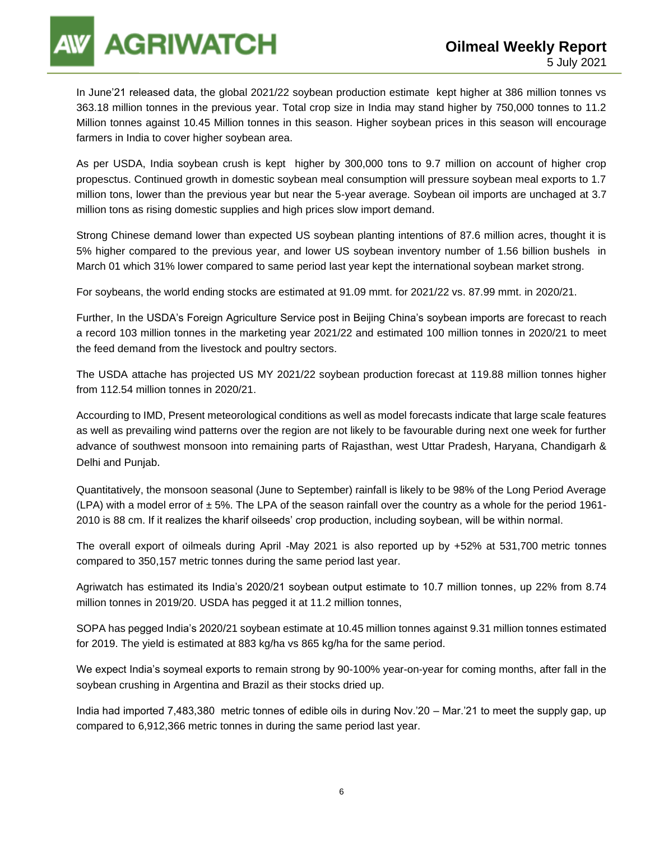

In June'21 released data, the global 2021/22 soybean production estimate kept higher at 386 million tonnes vs 363.18 million tonnes in the previous year. Total crop size in India may stand higher by 750,000 tonnes to 11.2 Million tonnes against 10.45 Million tonnes in this season. Higher soybean prices in this season will encourage farmers in India to cover higher soybean area.

As per USDA, India soybean crush is kept higher by 300,000 tons to 9.7 million on account of higher crop propesctus. Continued growth in domestic soybean meal consumption will pressure soybean meal exports to 1.7 million tons, lower than the previous year but near the 5-year average. Soybean oil imports are unchaged at 3.7 million tons as rising domestic supplies and high prices slow import demand.

Strong Chinese demand lower than expected US soybean planting intentions of 87.6 million acres, thought it is 5% higher compared to the previous year, and lower US soybean inventory number of 1.56 billion bushels in March 01 which 31% lower compared to same period last year kept the international soybean market strong.

For soybeans, the world ending stocks are estimated at 91.09 mmt. for 2021/22 vs. 87.99 mmt. in 2020/21.

Further, In the USDA's Foreign Agriculture Service post in Beijing China's soybean imports are forecast to reach a record 103 million tonnes in the marketing year 2021/22 and estimated 100 million tonnes in 2020/21 to meet the feed demand from the livestock and poultry sectors.

The USDA attache has projected US MY 2021/22 soybean production forecast at 119.88 million tonnes higher from 112.54 million tonnes in 2020/21.

Accourding to IMD, Present meteorological conditions as well as model forecasts indicate that large scale features as well as prevailing wind patterns over the region are not likely to be favourable during next one week for further advance of southwest monsoon into remaining parts of Rajasthan, west Uttar Pradesh, Haryana, Chandigarh & Delhi and Punjab.

Quantitatively, the monsoon seasonal (June to September) rainfall is likely to be 98% of the Long Period Average (LPA) with a model error of  $\pm$  5%. The LPA of the season rainfall over the country as a whole for the period 1961-2010 is 88 cm. If it realizes the kharif oilseeds' crop production, including soybean, will be within normal.

The overall export of oilmeals during April -May 2021 is also reported up by +52% at 531,700 metric tonnes compared to 350,157 metric tonnes during the same period last year.

Agriwatch has estimated its India's 2020/21 soybean output estimate to 10.7 million tonnes, up 22% from 8.74 million tonnes in 2019/20. USDA has pegged it at 11.2 million tonnes,

SOPA has pegged India's 2020/21 soybean estimate at 10.45 million tonnes against 9.31 million tonnes estimated for 2019. The yield is estimated at 883 kg/ha vs 865 kg/ha for the same period.

We expect India's soymeal exports to remain strong by 90-100% year-on-year for coming months, after fall in the soybean crushing in Argentina and Brazil as their stocks dried up.

India had imported 7,483,380 metric tonnes of edible oils in during Nov.'20 – Mar.'21 to meet the supply gap, up compared to 6,912,366 metric tonnes in during the same period last year.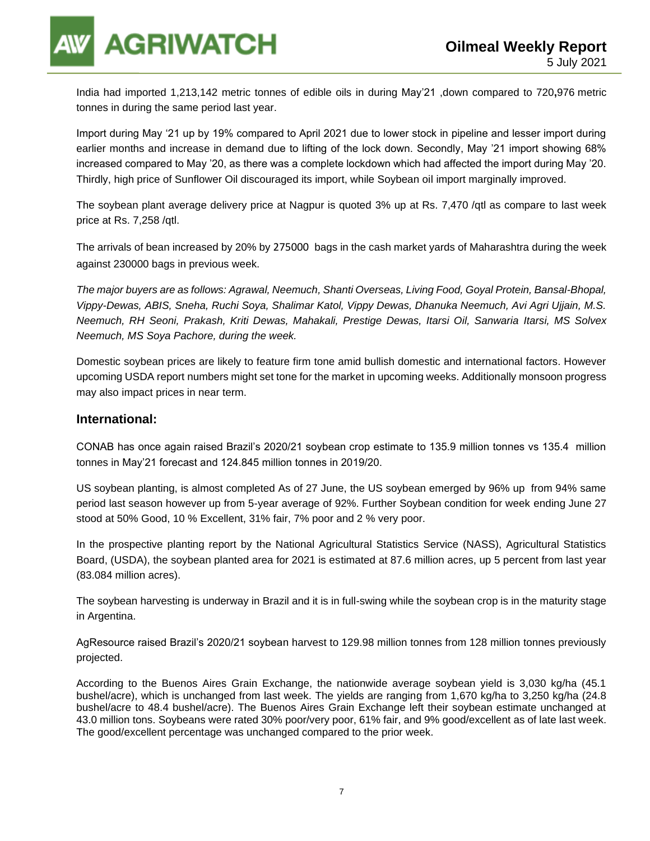**AGRIWATCH** 

India had imported 1,213,142 metric tonnes of edible oils in during May'21 ,down compared to 720**,**976 metric tonnes in during the same period last year.

Import during May '21 up by 19% compared to April 2021 due to lower stock in pipeline and lesser import during earlier months and increase in demand due to lifting of the lock down. Secondly, May '21 import showing 68% increased compared to May '20, as there was a complete lockdown which had affected the import during May '20. Thirdly, high price of Sunflower Oil discouraged its import, while Soybean oil import marginally improved.

The soybean plant average delivery price at Nagpur is quoted 3% up at Rs. 7,470 /qtl as compare to last week price at Rs. 7,258 /qtl.

The arrivals of bean increased by 20% by 275000 bags in the cash market yards of Maharashtra during the week against 230000 bags in previous week.

*The major buyers are as follows: Agrawal, Neemuch, Shanti Overseas, Living Food, Goyal Protein, Bansal-Bhopal, Vippy-Dewas, ABIS, Sneha, Ruchi Soya, Shalimar Katol, Vippy Dewas, Dhanuka Neemuch, Avi Agri Ujjain, M.S. Neemuch, RH Seoni, Prakash, Kriti Dewas, Mahakali, Prestige Dewas, Itarsi Oil, Sanwaria Itarsi, MS Solvex Neemuch, MS Soya Pachore, during the week.*

Domestic soybean prices are likely to feature firm tone amid bullish domestic and international factors. However upcoming USDA report numbers might set tone for the market in upcoming weeks. Additionally monsoon progress may also impact prices in near term.

### **International:**

CONAB has once again raised Brazil's 2020/21 soybean crop estimate to 135.9 million tonnes vs 135.4 million tonnes in May'21 forecast and 124.845 million tonnes in 2019/20.

US soybean planting, is almost completed As of 27 June, the US soybean emerged by 96% up from 94% same period last season however up from 5-year average of 92%. Further Soybean condition for week ending June 27 stood at 50% Good, 10 % Excellent, 31% fair, 7% poor and 2 % very poor.

In the prospective planting report by the National Agricultural Statistics Service (NASS), Agricultural Statistics Board, (USDA), the soybean planted area for 2021 is estimated at 87.6 million acres, up 5 percent from last year (83.084 million acres).

The soybean harvesting is underway in Brazil and it is in full-swing while the soybean crop is in the maturity stage in Argentina.

AgResource raised Brazil's 2020/21 soybean harvest to 129.98 million tonnes from 128 million tonnes previously projected.

According to the Buenos Aires Grain Exchange, the nationwide average soybean yield is 3,030 kg/ha (45.1 bushel/acre), which is unchanged from last week. The yields are ranging from 1,670 kg/ha to 3,250 kg/ha (24.8 bushel/acre to 48.4 bushel/acre). The Buenos Aires Grain Exchange left their soybean estimate unchanged at 43.0 million tons. Soybeans were rated 30% poor/very poor, 61% fair, and 9% good/excellent as of late last week. The good/excellent percentage was unchanged compared to the prior week.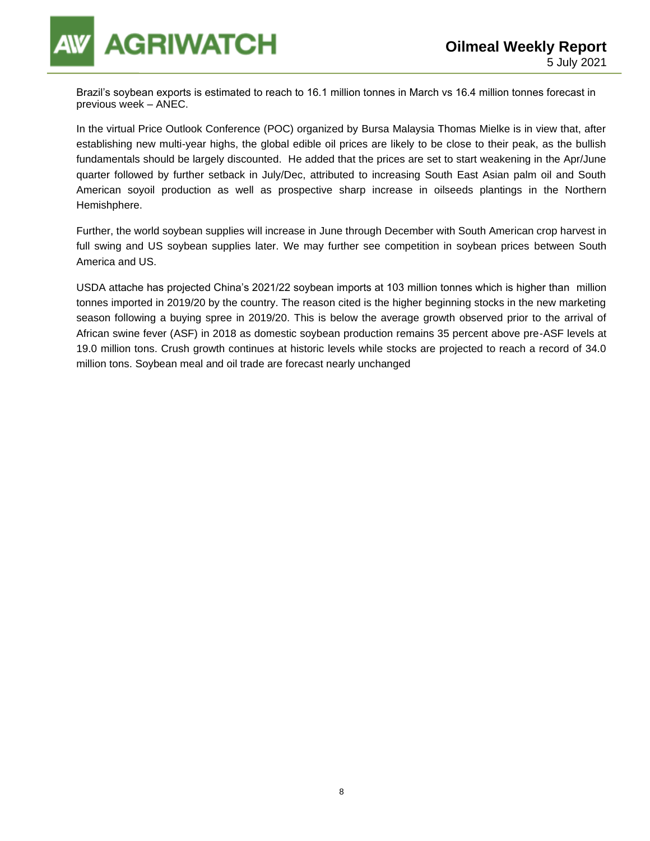

Brazil's soybean exports is estimated to reach to 16.1 million tonnes in March vs 16.4 million tonnes forecast in previous week – ANEC.

In the virtual Price Outlook Conference (POC) organized by Bursa Malaysia Thomas Mielke is in view that, after establishing new multi-year highs, the global edible oil prices are likely to be close to their peak, as the bullish fundamentals should be largely discounted. He added that the prices are set to start weakening in the Apr/June quarter followed by further setback in July/Dec, attributed to increasing South East Asian palm oil and South American soyoil production as well as prospective sharp increase in oilseeds plantings in the Northern Hemishphere.

Further, the world soybean supplies will increase in June through December with South American crop harvest in full swing and US soybean supplies later. We may further see competition in soybean prices between South America and US.

USDA attache has projected China's 2021/22 soybean imports at 103 million tonnes which is higher than million tonnes imported in 2019/20 by the country. The reason cited is the higher beginning stocks in the new marketing season following a buying spree in 2019/20. This is below the average growth observed prior to the arrival of African swine fever (ASF) in 2018 as domestic soybean production remains 35 percent above pre-ASF levels at 19.0 million tons. Crush growth continues at historic levels while stocks are projected to reach a record of 34.0 million tons. Soybean meal and oil trade are forecast nearly unchanged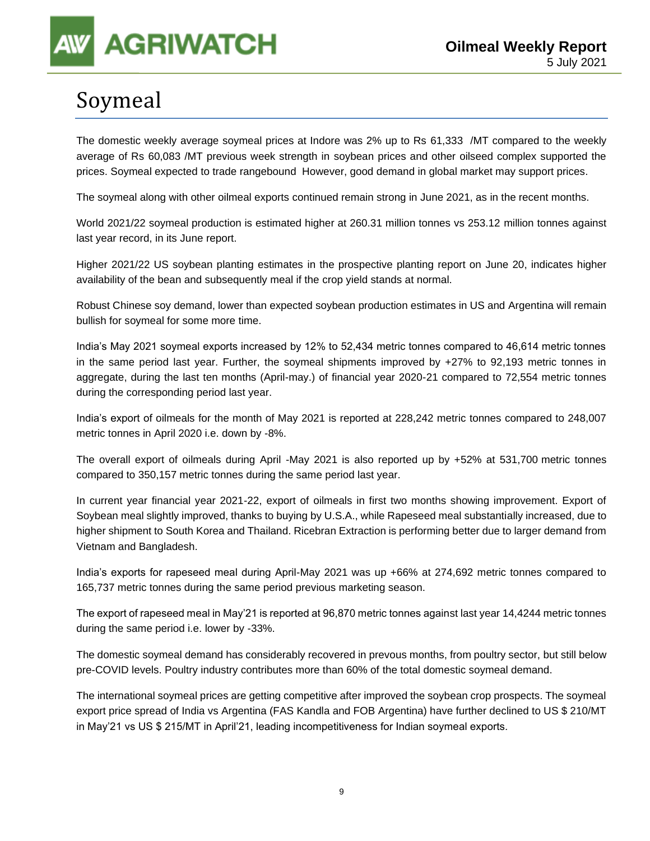# Soymeal

The domestic weekly average soymeal prices at Indore was 2% up to Rs 61,333 /MT compared to the weekly average of Rs 60,083 /MT previous week strength in soybean prices and other oilseed complex supported the prices. Soymeal expected to trade rangebound However, good demand in global market may support prices.

The soymeal along with other oilmeal exports continued remain strong in June 2021, as in the recent months.

World 2021/22 soymeal production is estimated higher at 260.31 million tonnes vs 253.12 million tonnes against last year record, in its June report.

Higher 2021/22 US soybean planting estimates in the prospective planting report on June 20, indicates higher availability of the bean and subsequently meal if the crop yield stands at normal.

Robust Chinese soy demand, lower than expected soybean production estimates in US and Argentina will remain bullish for soymeal for some more time.

India's May 2021 soymeal exports increased by 12% to 52,434 metric tonnes compared to 46,614 metric tonnes in the same period last year. Further, the soymeal shipments improved by +27% to 92,193 metric tonnes in aggregate, during the last ten months (April-may.) of financial year 2020-21 compared to 72,554 metric tonnes during the corresponding period last year.

India's export of oilmeals for the month of May 2021 is reported at 228,242 metric tonnes compared to 248,007 metric tonnes in April 2020 i.e. down by -8%.

The overall export of oilmeals during April -May 2021 is also reported up by +52% at 531,700 metric tonnes compared to 350,157 metric tonnes during the same period last year.

In current year financial year 2021-22, export of oilmeals in first two months showing improvement. Export of Soybean meal slightly improved, thanks to buying by U.S.A., while Rapeseed meal substantially increased, due to higher shipment to South Korea and Thailand. Ricebran Extraction is performing better due to larger demand from Vietnam and Bangladesh.

India's exports for rapeseed meal during April-May 2021 was up +66% at 274,692 metric tonnes compared to 165,737 metric tonnes during the same period previous marketing season.

The export of rapeseed meal in May'21 is reported at 96,870 metric tonnes against last year 14,4244 metric tonnes during the same period i.e. lower by -33%.

The domestic soymeal demand has considerably recovered in prevous months, from poultry sector, but still below pre-COVID levels. Poultry industry contributes more than 60% of the total domestic soymeal demand.

The international soymeal prices are getting competitive after improved the soybean crop prospects. The soymeal export price spread of India vs Argentina (FAS Kandla and FOB Argentina) have further declined to US \$ 210/MT in May'21 vs US \$ 215/MT in April'21, leading incompetitiveness for Indian soymeal exports.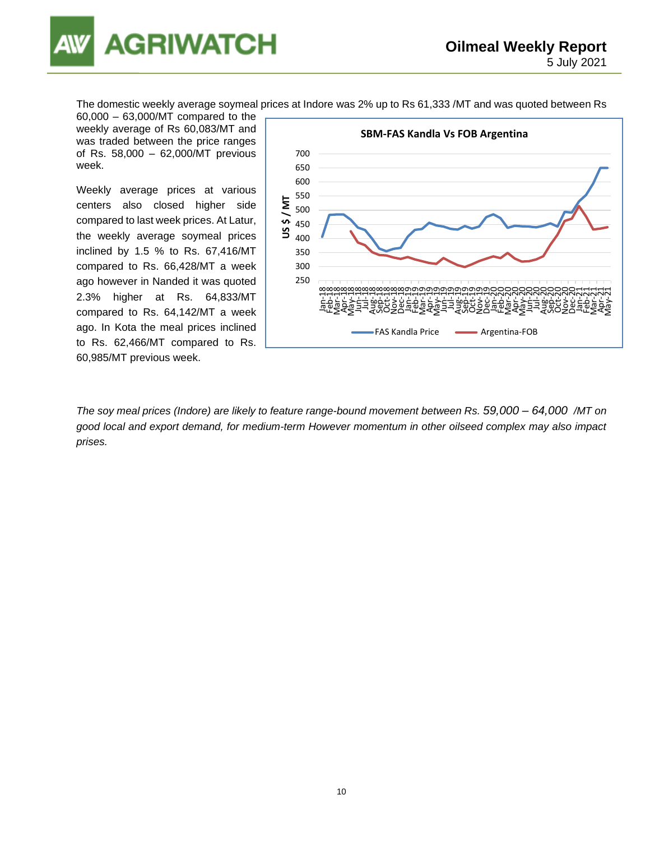

The domestic weekly average soymeal prices at Indore was 2% up to Rs 61,333 /MT and was quoted between Rs

60,000 – 63,000/MT compared to the weekly average of Rs 60,083/MT and was traded between the price ranges of Rs. 58,000 – 62,000/MT previous week.

Weekly average prices at various centers also closed higher side compared to last week prices. At Latur, the weekly average soymeal prices inclined by 1.5 % to Rs. 67,416/MT compared to Rs. 66,428/MT a week ago however in Nanded it was quoted 2.3% higher at Rs. 64,833/MT compared to Rs. 64,142/MT a week ago. In Kota the meal prices inclined to Rs. 62,466/MT compared to Rs. 60,985/MT previous week.



*The soy meal prices (Indore) are likely to feature range-bound movement between Rs. 59,000 – 64,000 /MT on good local and export demand, for medium-term However momentum in other oilseed complex may also impact prises.*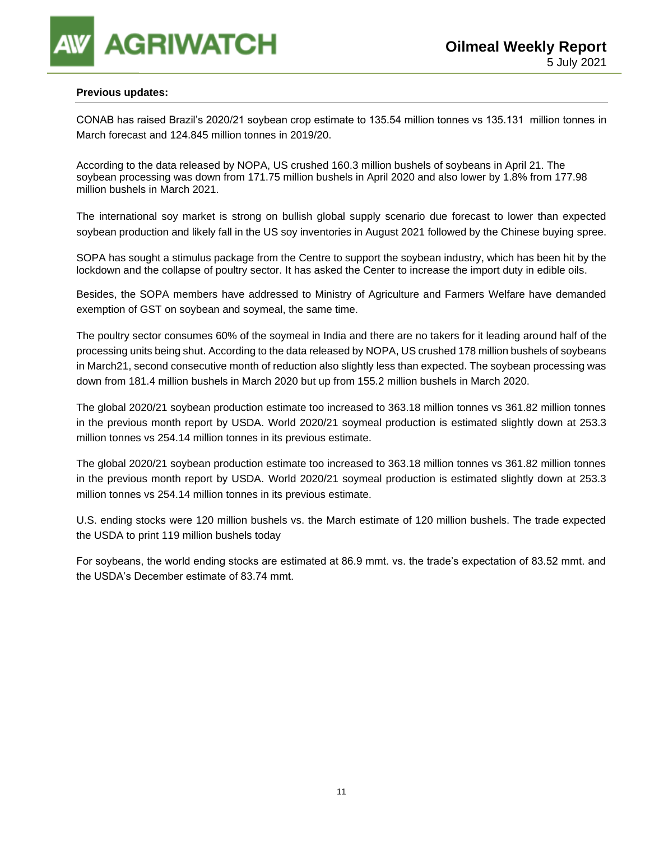### **Previous updates:**

CONAB has raised Brazil's 2020/21 soybean crop estimate to 135.54 million tonnes vs 135.131 million tonnes in March forecast and 124.845 million tonnes in 2019/20.

According to the data released by NOPA, US crushed 160.3 million bushels of soybeans in April 21. The soybean processing was down from 171.75 million bushels in April 2020 and also lower by 1.8% from 177.98 million bushels in March 2021.

The international soy market is strong on bullish global supply scenario due forecast to lower than expected soybean production and likely fall in the US soy inventories in August 2021 followed by the Chinese buying spree.

SOPA has sought a stimulus package from the Centre to support the soybean industry, which has been hit by the lockdown and the collapse of poultry sector. It has asked the Center to increase the import duty in edible oils.

Besides, the SOPA members have addressed to Ministry of Agriculture and Farmers Welfare have demanded exemption of GST on soybean and soymeal, the same time.

The poultry sector consumes 60% of the soymeal in India and there are no takers for it leading around half of the processing units being shut. According to the data released by NOPA, US crushed 178 million bushels of soybeans in March21, second consecutive month of reduction also slightly less than expected. The soybean processing was down from 181.4 million bushels in March 2020 but up from 155.2 million bushels in March 2020.

The global 2020/21 soybean production estimate too increased to 363.18 million tonnes vs 361.82 million tonnes in the previous month report by USDA. World 2020/21 soymeal production is estimated slightly down at 253.3 million tonnes vs 254.14 million tonnes in its previous estimate.

The global 2020/21 soybean production estimate too increased to 363.18 million tonnes vs 361.82 million tonnes in the previous month report by USDA. World 2020/21 soymeal production is estimated slightly down at 253.3 million tonnes vs 254.14 million tonnes in its previous estimate.

U.S. ending stocks were 120 million bushels vs. the March estimate of 120 million bushels. The trade expected the USDA to print 119 million bushels today

For soybeans, the world ending stocks are estimated at 86.9 mmt. vs. the trade's expectation of 83.52 mmt. and the USDA's December estimate of 83.74 mmt.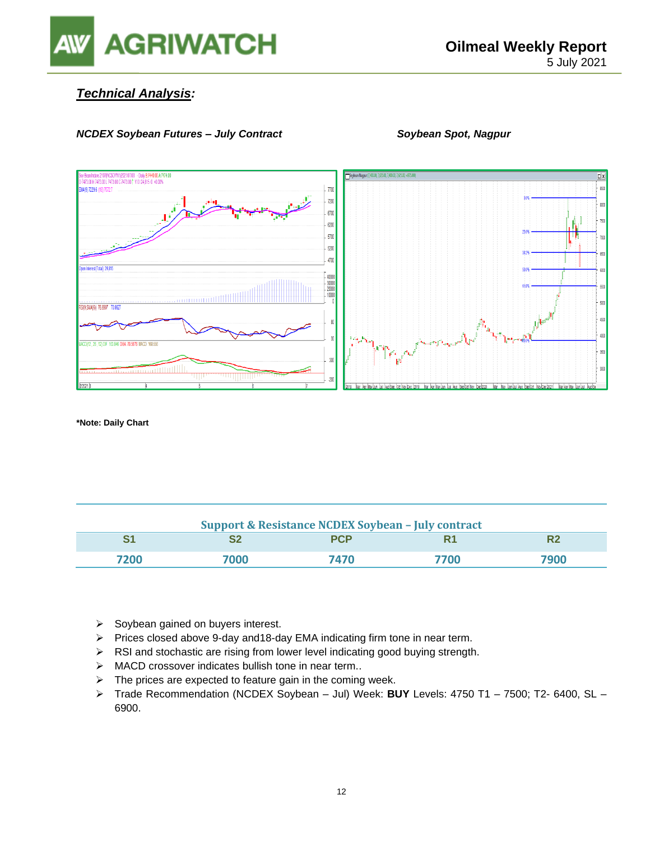

### *Technical Analysis:*

### *NCDEX Soybean Futures – July Contract* Soybean Spot, Nagpur



**\*Note: Daily Chart**

| <b>Support &amp; Resistance NCDEX Soybean - July contract</b> |      |            |      |      |  |  |
|---------------------------------------------------------------|------|------------|------|------|--|--|
|                                                               |      | <b>PCP</b> | R1   |      |  |  |
| 7200                                                          | 7000 | 7470       | 7700 | 7900 |  |  |

- ➢ Soybean gained on buyers interest.
- ➢ Prices closed above 9-day and18-day EMA indicating firm tone in near term.
- ➢ RSI and stochastic are rising from lower level indicating good buying strength.
- ➢ MACD crossover indicates bullish tone in near term..
- $\triangleright$  The prices are expected to feature gain in the coming week.
- ➢ Trade Recommendation (NCDEX Soybean Jul) Week: **BUY** Levels: 4750 T1 7500; T2- 6400, SL 6900.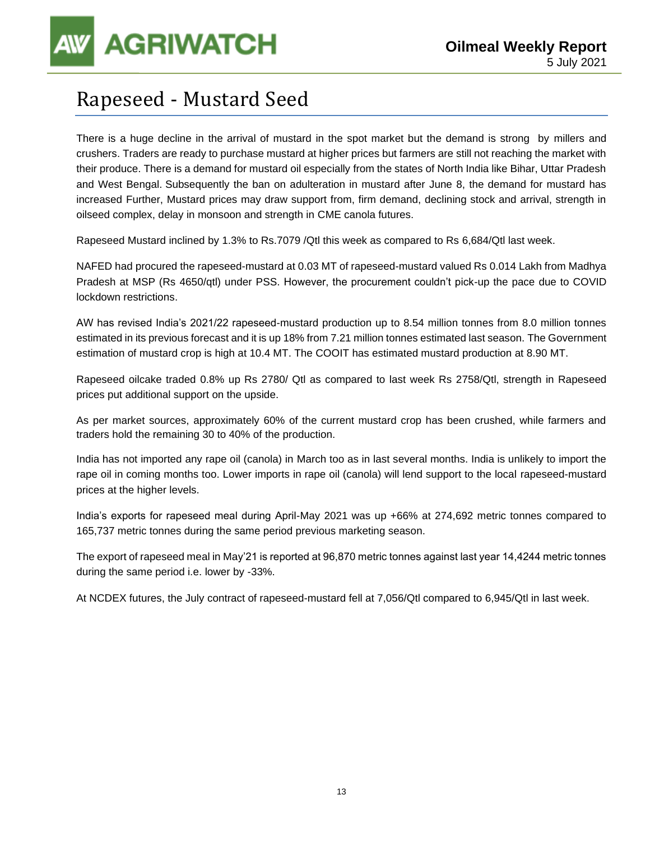**AGRIWATCH** 

### Rapeseed - Mustard Seed

There is a huge decline in the arrival of mustard in the spot market but the demand is strong by millers and crushers. Traders are ready to purchase mustard at higher prices but farmers are still not reaching the market with their produce. There is a demand for mustard oil especially from the states of North India like Bihar, Uttar Pradesh and West Bengal. Subsequently the ban on adulteration in mustard after June 8, the demand for mustard has increased Further, Mustard prices may draw support from, firm demand, declining stock and arrival, strength in oilseed complex, delay in monsoon and strength in CME canola futures.

Rapeseed Mustard inclined by 1.3% to Rs.7079 /Qtl this week as compared to Rs 6,684/Qtl last week.

NAFED had procured the rapeseed-mustard at 0.03 MT of rapeseed-mustard valued Rs 0.014 Lakh from Madhya Pradesh at MSP (Rs 4650/qtl) under PSS. However, the procurement couldn't pick-up the pace due to COVID lockdown restrictions.

AW has revised India's 2021/22 rapeseed-mustard production up to 8.54 million tonnes from 8.0 million tonnes estimated in its previous forecast and it is up 18% from 7.21 million tonnes estimated last season. The Government estimation of mustard crop is high at 10.4 MT. The COOIT has estimated mustard production at 8.90 MT.

Rapeseed oilcake traded 0.8% up Rs 2780/ Qtl as compared to last week Rs 2758/Qtl, strength in Rapeseed prices put additional support on the upside.

As per market sources, approximately 60% of the current mustard crop has been crushed, while farmers and traders hold the remaining 30 to 40% of the production.

India has not imported any rape oil (canola) in March too as in last several months. India is unlikely to import the rape oil in coming months too. Lower imports in rape oil (canola) will lend support to the local rapeseed-mustard prices at the higher levels.

India's exports for rapeseed meal during April-May 2021 was up +66% at 274,692 metric tonnes compared to 165,737 metric tonnes during the same period previous marketing season.

The export of rapeseed meal in May'21 is reported at 96,870 metric tonnes against last year 14,4244 metric tonnes during the same period i.e. lower by -33%.

At NCDEX futures, the July contract of rapeseed-mustard fell at 7,056/Qtl compared to 6,945/Qtl in last week.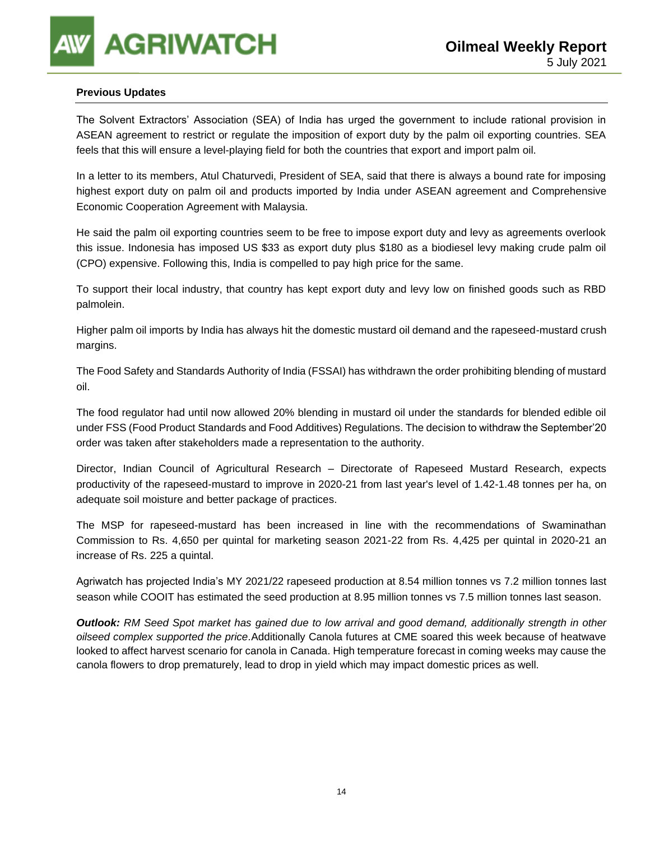### **Previous Updates**

The Solvent Extractors' Association (SEA) of India has urged the government to include rational provision in ASEAN agreement to restrict or regulate the imposition of export duty by the palm oil exporting countries. SEA feels that this will ensure a level-playing field for both the countries that export and import palm oil.

In a letter to its members, Atul Chaturvedi, President of SEA, said that there is always a bound rate for imposing highest export duty on palm oil and products imported by India under ASEAN agreement and Comprehensive Economic Cooperation Agreement with Malaysia.

He said the palm oil exporting countries seem to be free to impose export duty and levy as agreements overlook this issue. Indonesia has imposed US \$33 as export duty plus \$180 as a biodiesel levy making crude palm oil (CPO) expensive. Following this, India is compelled to pay high price for the same.

To support their local industry, that country has kept export duty and levy low on finished goods such as RBD palmolein.

Higher palm oil imports by India has always hit the domestic mustard oil demand and the rapeseed-mustard crush margins.

The Food Safety and Standards Authority of India (FSSAI) has withdrawn the order prohibiting blending of mustard oil.

The food regulator had until now allowed 20% blending in mustard oil under the standards for blended edible oil under FSS (Food Product Standards and Food Additives) Regulations. The decision to withdraw the September'20 order was taken after stakeholders made a representation to the authority.

Director, Indian Council of Agricultural Research – Directorate of Rapeseed Mustard Research, expects productivity of the rapeseed-mustard to improve in 2020-21 from last year's level of 1.42-1.48 tonnes per ha, on adequate soil moisture and better package of practices.

The MSP for rapeseed-mustard has been increased in line with the recommendations of Swaminathan Commission to Rs. 4,650 per quintal for marketing season 2021-22 from Rs. 4,425 per quintal in 2020-21 an increase of Rs. 225 a quintal.

Agriwatch has projected India's MY 2021/22 rapeseed production at 8.54 million tonnes vs 7.2 million tonnes last season while COOIT has estimated the seed production at 8.95 million tonnes vs 7.5 million tonnes last season.

*Outlook: RM Seed Spot market has gained due to low arrival and good demand, additionally strength in other oilseed complex supported the price.*Additionally Canola futures at CME soared this week because of heatwave looked to affect harvest scenario for canola in Canada. High temperature forecast in coming weeks may cause the canola flowers to drop prematurely, lead to drop in yield which may impact domestic prices as well.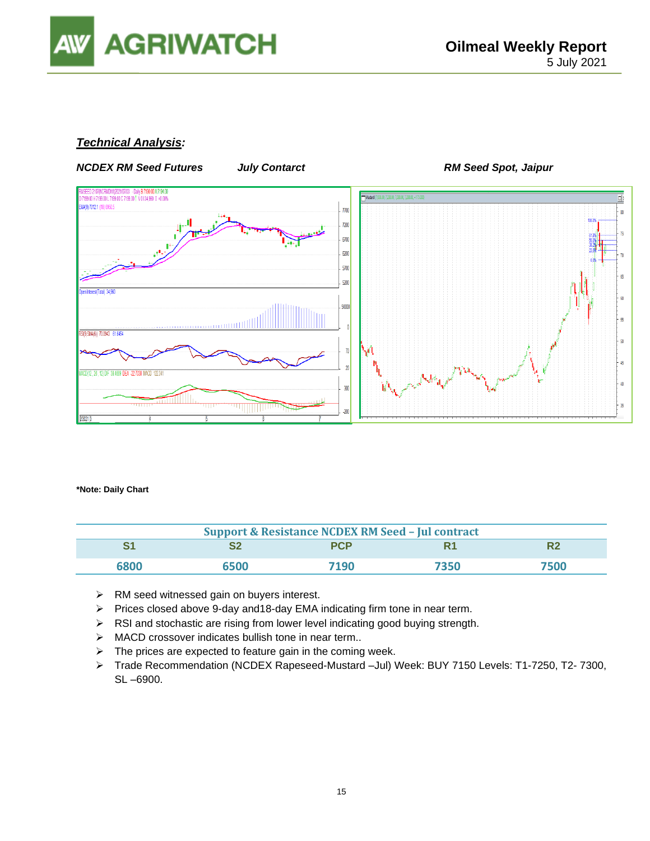

### *Technical Analysis:*



**\*Note: Daily Chart**

| <b>Support &amp; Resistance NCDEX RM Seed - Jul contract</b> |      |            |      |      |  |  |
|--------------------------------------------------------------|------|------------|------|------|--|--|
|                                                              |      | <b>PCP</b> |      |      |  |  |
| 6800                                                         | 6500 | 7190       | 7350 | 7500 |  |  |

- ➢ RM seed witnessed gain on buyers interest.
- ➢ Prices closed above 9-day and18-day EMA indicating firm tone in near term.
- ➢ RSI and stochastic are rising from lower level indicating good buying strength.
- ➢ MACD crossover indicates bullish tone in near term..
- $\triangleright$  The prices are expected to feature gain in the coming week.
- ➢ Trade Recommendation (NCDEX Rapeseed-Mustard –Jul) Week: BUY 7150 Levels: T1-7250, T2- 7300, SL –6900.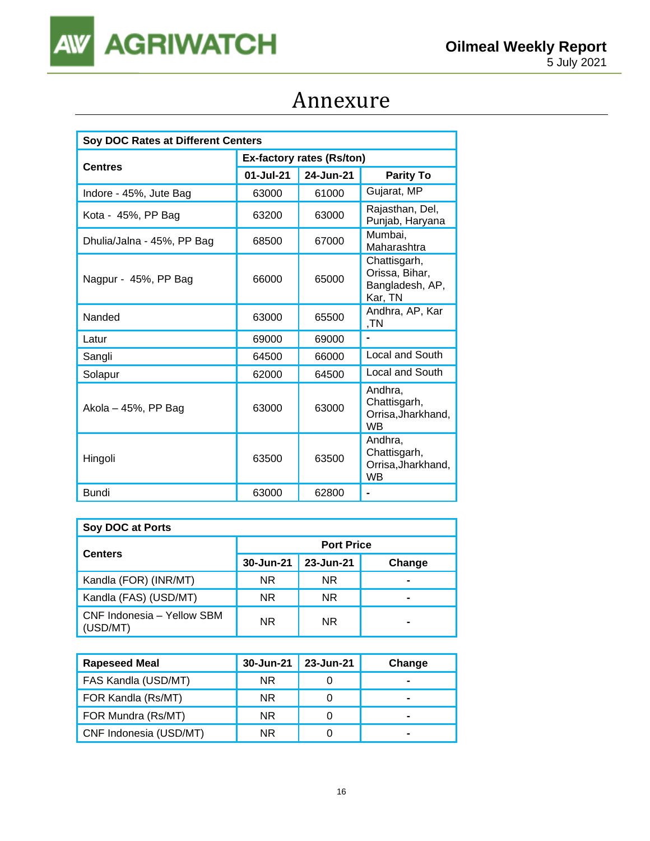

## Annexure

| Soy DOC Rates at Different Centers |                                  |           |                                                              |  |  |
|------------------------------------|----------------------------------|-----------|--------------------------------------------------------------|--|--|
|                                    | <b>Ex-factory rates (Rs/ton)</b> |           |                                                              |  |  |
| <b>Centres</b>                     | 01-Jul-21                        | 24-Jun-21 | <b>Parity To</b>                                             |  |  |
| Indore - 45%, Jute Bag             | 63000                            | 61000     | Gujarat, MP                                                  |  |  |
| Kota - 45%, PP Bag                 | 63200                            | 63000     | Rajasthan, Del,<br>Punjab, Haryana                           |  |  |
| Dhulia/Jalna - 45%, PP Bag         | 68500                            | 67000     | Mumbai,<br>Maharashtra                                       |  |  |
| Nagpur - 45%, PP Bag               | 66000                            | 65000     | Chattisgarh,<br>Orissa, Bihar,<br>Bangladesh, AP,<br>Kar, TN |  |  |
| Nanded                             | 63000                            | 65500     | Andhra, AP, Kar<br>,TN                                       |  |  |
| Latur                              | 69000                            | 69000     |                                                              |  |  |
| Sangli                             | 64500                            | 66000     | Local and South                                              |  |  |
| Solapur                            | 62000                            | 64500     | Local and South                                              |  |  |
| Akola – 45%, PP Bag                | 63000                            | 63000     | Andhra,<br>Chattisgarh,<br>Orrisa, Jharkhand,<br>WB          |  |  |
| Hingoli                            | 63500                            | 63500     | Andhra.<br>Chattisgarh,<br>Orrisa, Jharkhand,<br><b>WB</b>   |  |  |
| Bundi                              | 63000                            | 62800     |                                                              |  |  |

| Soy DOC at Ports                       |                   |           |        |  |  |  |
|----------------------------------------|-------------------|-----------|--------|--|--|--|
| <b>Centers</b>                         | <b>Port Price</b> |           |        |  |  |  |
|                                        | 30-Jun-21         | 23-Jun-21 | Change |  |  |  |
| Kandla (FOR) (INR/MT)                  | NR.               | NR.       |        |  |  |  |
| Kandla (FAS) (USD/MT)                  | NR.               | NR.       | -      |  |  |  |
| CNF Indonesia - Yellow SBM<br>(USD/MT) | NR.               | NR.       |        |  |  |  |

| <b>Rapeseed Meal</b>   | 30-Jun-21 | 23-Jun-21 | Change |
|------------------------|-----------|-----------|--------|
| FAS Kandla (USD/MT)    | NR.       |           |        |
| FOR Kandla (Rs/MT)     | NR.       |           |        |
| FOR Mundra (Rs/MT)     | NR.       |           |        |
| CNF Indonesia (USD/MT) | NR.       |           |        |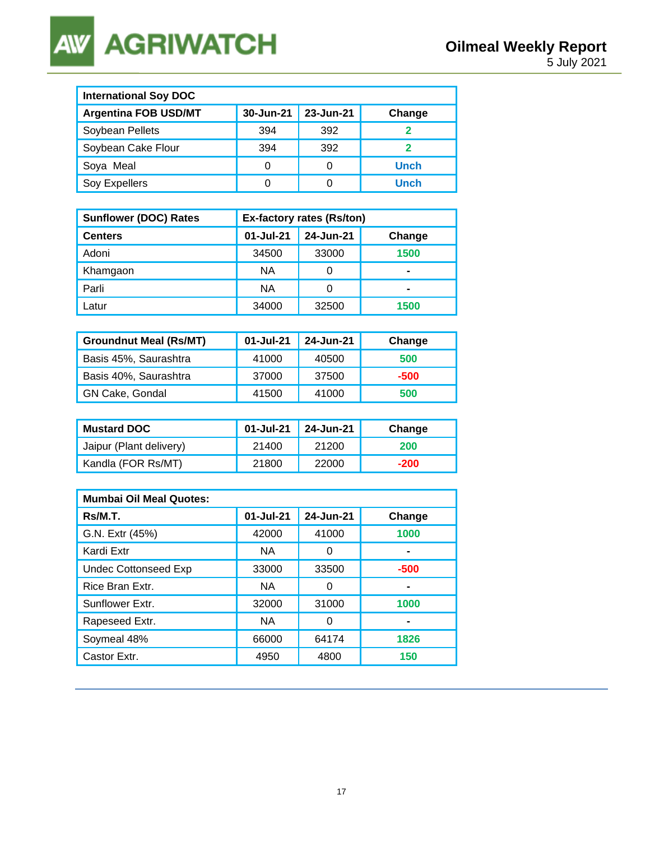**AGRIWATCH AW** 

| <b>International Soy DOC</b> |           |           |             |  |  |
|------------------------------|-----------|-----------|-------------|--|--|
| <b>Argentina FOB USD/MT</b>  | 30-Jun-21 | 23-Jun-21 | Change      |  |  |
| Soybean Pellets              | 394       | 392       |             |  |  |
| Soybean Cake Flour           | 394       | 392       | າ           |  |  |
| Soya Meal                    | 0         | 0         | <b>Unch</b> |  |  |
| Soy Expellers                |           | 0         | Unch        |  |  |

| <b>Sunflower (DOC) Rates</b> | Ex-factory rates (Rs/ton) |           |        |  |
|------------------------------|---------------------------|-----------|--------|--|
| <b>Centers</b>               | 01-Jul-21                 | 24-Jun-21 | Change |  |
| Adoni                        | 34500                     | 33000     | 1500   |  |
| Khamgaon                     | NА                        |           | -      |  |
| Parli                        | ΝA                        |           | -      |  |
| Latur                        | 34000                     | 32500     | 1500   |  |

| <b>Groundnut Meal (Rs/MT)</b> | 01-Jul-21 | 24-Jun-21 | Change |
|-------------------------------|-----------|-----------|--------|
| Basis 45%, Saurashtra         | 41000     | 40500     | 500    |
| Basis 40%, Saurashtra         | 37000     | 37500     | -500   |
| <b>GN Cake, Gondal</b>        | 41500     | 41000     | 500    |

| <b>Mustard DOC</b>      | 01-Jul-21 | $\vert$ 24-Jun-21 | Change     |
|-------------------------|-----------|-------------------|------------|
| Jaipur (Plant delivery) | 21400     | 21200             | <b>200</b> |
| Kandla (FOR Rs/MT)      | 21800     | 22000             | -200       |

| <b>Mumbai Oil Meal Quotes:</b> |           |           |        |  |  |
|--------------------------------|-----------|-----------|--------|--|--|
| Rs/M.T.                        | 01-Jul-21 | 24-Jun-21 | Change |  |  |
| G.N. Extr (45%)                | 42000     | 41000     | 1000   |  |  |
| Kardi Extr                     | NA.       | Ω         |        |  |  |
| <b>Undec Cottonseed Exp</b>    | 33000     | 33500     | $-500$ |  |  |
| Rice Bran Extr.                | NA.       | 0         | -      |  |  |
| Sunflower Extr.                | 32000     | 31000     | 1000   |  |  |
| Rapeseed Extr.                 | NA.       | O         |        |  |  |
| Soymeal 48%                    | 66000     | 64174     | 1826   |  |  |
| Castor Extr.                   | 4950      | 4800      | 150    |  |  |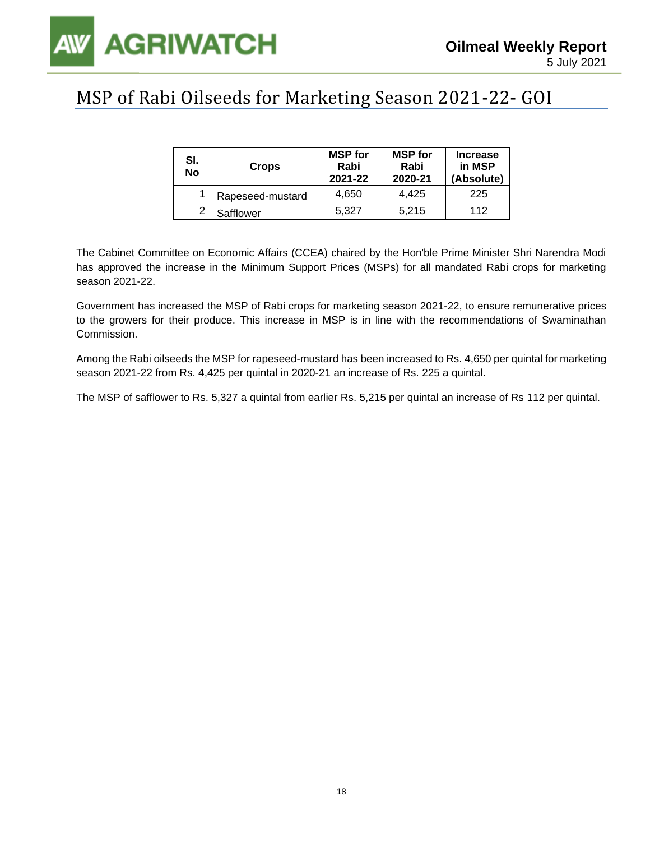

### MSP of Rabi Oilseeds for Marketing Season 2021-22- GOI

| SI.<br>No | <b>Crops</b>     | <b>MSP</b> for<br>Rabi<br>2021-22 | <b>MSP</b> for<br>Rabi<br>2020-21 | <b>Increase</b><br>in MSP<br>(Absolute) |
|-----------|------------------|-----------------------------------|-----------------------------------|-----------------------------------------|
|           | Rapeseed-mustard | 4.650                             | 4.425                             | 225                                     |
| າ         | Safflower        | 5.327                             | 5.215                             | 112                                     |

The Cabinet Committee on Economic Affairs (CCEA) chaired by the Hon'ble Prime Minister Shri Narendra Modi has approved the increase in the Minimum Support Prices (MSPs) for all mandated Rabi crops for marketing season 2021-22.

Government has increased the MSP of Rabi crops for marketing season 2021-22, to ensure remunerative prices to the growers for their produce. This increase in MSP is in line with the recommendations of Swaminathan Commission.

Among the Rabi oilseeds the MSP for rapeseed-mustard has been increased to Rs. 4,650 per quintal for marketing season 2021-22 from Rs. 4,425 per quintal in 2020-21 an increase of Rs. 225 a quintal.

The MSP of safflower to Rs. 5,327 a quintal from earlier Rs. 5,215 per quintal an increase of Rs 112 per quintal.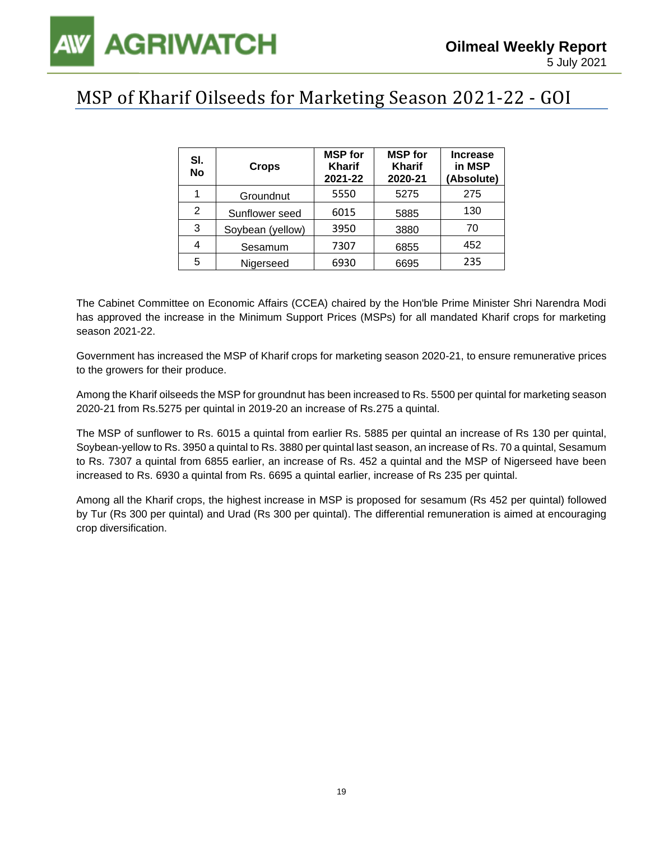### MSP of Kharif Oilseeds for Marketing Season 2021-22 - GOI

| SI.<br><b>No</b> | <b>Crops</b>     | <b>MSP</b> for<br><b>Kharif</b><br>2021-22 | <b>MSP</b> for<br><b>Kharif</b><br>2020-21 | <b>Increase</b><br>in MSP<br>(Absolute) |
|------------------|------------------|--------------------------------------------|--------------------------------------------|-----------------------------------------|
| 1                | Groundnut        | 5550                                       | 5275                                       | 275                                     |
| 2                | Sunflower seed   | 6015                                       | 5885                                       | 130                                     |
| 3                | Soybean (yellow) | 3950                                       | 3880                                       | 70                                      |
| 4                | Sesamum          | 7307                                       | 6855                                       | 452                                     |
| 5                | Nigerseed        | 6930                                       | 6695                                       | 235                                     |

The Cabinet Committee on Economic Affairs (CCEA) chaired by the Hon'ble Prime Minister Shri Narendra Modi has approved the increase in the Minimum Support Prices (MSPs) for all mandated Kharif crops for marketing season 2021-22.

Government has increased the MSP of Kharif crops for marketing season 2020-21, to ensure remunerative prices to the growers for their produce.

Among the Kharif oilseeds the MSP for groundnut has been increased to Rs. 5500 per quintal for marketing season 2020-21 from Rs.5275 per quintal in 2019-20 an increase of Rs.275 a quintal.

The MSP of sunflower to Rs. 6015 a quintal from earlier Rs. 5885 per quintal an increase of Rs 130 per quintal, Soybean-yellow to Rs. 3950 a quintal to Rs. 3880 per quintal last season, an increase of Rs. 70 a quintal, Sesamum to Rs. 7307 a quintal from 6855 earlier, an increase of Rs. 452 a quintal and the MSP of Nigerseed have been increased to Rs. 6930 a quintal from Rs. 6695 a quintal earlier, increase of Rs 235 per quintal.

Among all the Kharif crops, the highest increase in MSP is proposed for sesamum (Rs 452 per quintal) followed by Tur (Rs 300 per quintal) and Urad (Rs 300 per quintal). The differential remuneration is aimed at encouraging crop diversification.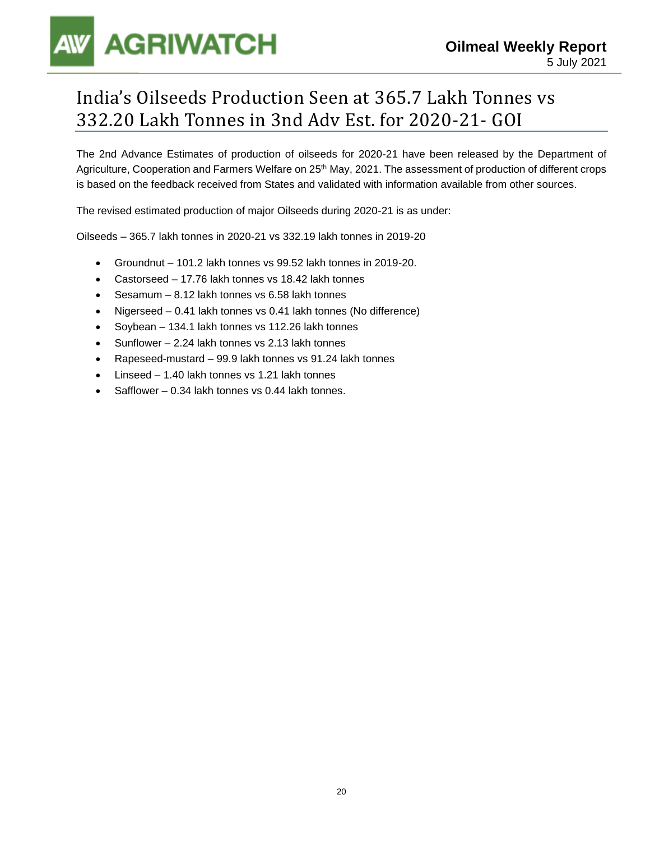# **AGRIWATCH**

### India's Oilseeds Production Seen at 365.7 Lakh Tonnes vs 332.20 Lakh Tonnes in 3nd Adv Est. for 2020-21- GOI

The 2nd Advance Estimates of production of oilseeds for 2020-21 have been released by the Department of Agriculture, Cooperation and Farmers Welfare on 25<sup>th</sup> May, 2021. The assessment of production of different crops is based on the feedback received from States and validated with information available from other sources.

The revised estimated production of major Oilseeds during 2020-21 is as under:

Oilseeds – 365.7 lakh tonnes in 2020-21 vs 332.19 lakh tonnes in 2019-20

- Groundnut 101.2 lakh tonnes vs 99.52 lakh tonnes in 2019-20.
- Castorseed 17.76 lakh tonnes vs 18.42 lakh tonnes
- Sesamum 8.12 lakh tonnes vs 6.58 lakh tonnes
- Nigerseed 0.41 lakh tonnes vs 0.41 lakh tonnes (No difference)
- Soybean 134.1 lakh tonnes vs 112.26 lakh tonnes
- Sunflower 2.24 lakh tonnes vs 2.13 lakh tonnes
- Rapeseed-mustard 99.9 lakh tonnes vs 91.24 lakh tonnes
- Linseed 1.40 lakh tonnes vs 1.21 lakh tonnes
- Safflower 0.34 lakh tonnes vs 0.44 lakh tonnes.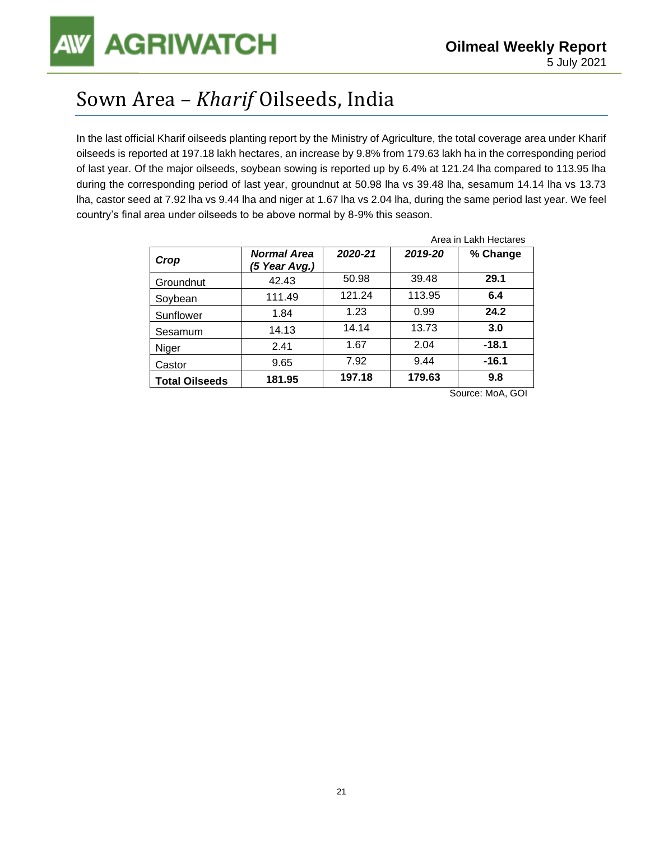## Sown Area – *Kharif* Oilseeds, India

In the last official Kharif oilseeds planting report by the Ministry of Agriculture, the total coverage area under Kharif oilseeds is reported at 197.18 lakh hectares, an increase by 9.8% from 179.63 lakh ha in the corresponding period of last year. Of the major oilseeds, soybean sowing is reported up by 6.4% at 121.24 lha compared to 113.95 lha during the corresponding period of last year, groundnut at 50.98 lha vs 39.48 lha, sesamum 14.14 lha vs 13.73 lha, castor seed at 7.92 lha vs 9.44 lha and niger at 1.67 lha vs 2.04 lha, during the same period last year. We feel country's final area under oilseeds to be above normal by 8-9% this season.

|                       |                                     | Area in Lakh Hectares |         |          |  |
|-----------------------|-------------------------------------|-----------------------|---------|----------|--|
| Crop                  | <b>Normal Area</b><br>(5 Year Avg.) | 2020-21               | 2019-20 | % Change |  |
| Groundnut             | 42.43                               | 50.98                 | 39.48   | 29.1     |  |
| Soybean               | 111.49                              | 121.24                | 113.95  | 6.4      |  |
| Sunflower             | 1.84                                | 1.23                  | 0.99    | 24.2     |  |
| Sesamum               | 14.13                               | 14.14                 | 13.73   | 3.0      |  |
| Niger                 | 2.41                                | 1.67                  | 2.04    | $-18.1$  |  |
| Castor                | 9.65                                | 7.92                  | 9.44    | $-16.1$  |  |
| <b>Total Oilseeds</b> | 181.95                              | 197.18                | 179.63  | 9.8      |  |

Source: MoA, GOI